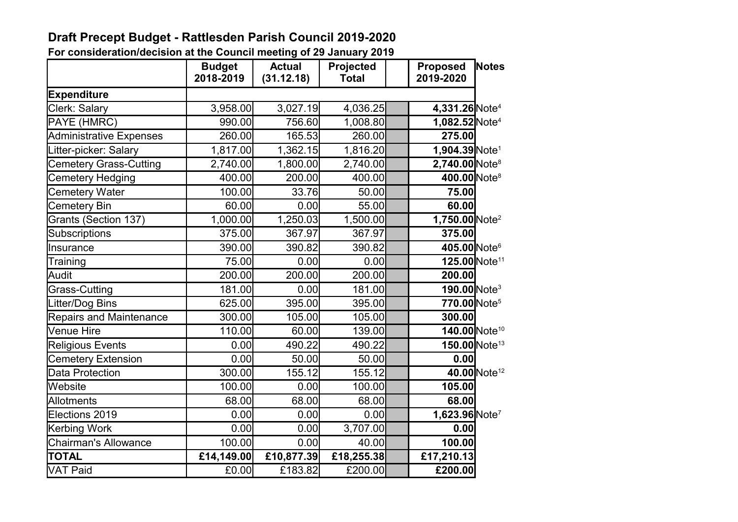## **Draft Precept Budget - Rattlesden Parish Council 2019-2020**

**For consideration/decision at the Council meeting of 29 January 2019**

|                                | <b>Budget</b><br>2018-2019 | <b>Actual</b><br>(31.12.18) | Projected<br><b>Total</b> | <b>Proposed</b><br>2019-2020            | Notes                     |
|--------------------------------|----------------------------|-----------------------------|---------------------------|-----------------------------------------|---------------------------|
| <b>Expenditure</b>             |                            |                             |                           |                                         |                           |
| Clerk: Salary                  | 3,958.00                   | 3,027.19                    | 4,036.25                  | 4,331.26 Note <sup>4</sup>              |                           |
| PAYE (HMRC)                    | 990.00                     | 756.60                      | 1,008.80                  | 1,082.52 Note <sup>4</sup>              |                           |
| <b>Administrative Expenses</b> | 260.00                     | 165.53                      | 260.00                    | 275.00                                  |                           |
| Litter-picker: Salary          | 1,817.00                   | 1,362.15                    | 1,816.20                  | 1,904.39 Note <sup>1</sup>              |                           |
| <b>Cemetery Grass-Cutting</b>  | 2,740.00                   | 1,800.00                    | 2,740.00                  | $2,740.00$ Note <sup>8</sup>            |                           |
| Cemetery Hedging               | 400.00                     | 200.00                      | 400.00                    | 400.00 Note <sup>8</sup>                |                           |
| Cemetery Water                 | 100.00                     | 33.76                       | 50.00                     | 75.00                                   |                           |
| Cemetery Bin                   | 60.00                      | 0.00                        | 55.00                     | 60.00                                   |                           |
| Grants (Section 137)           | 1,000.00                   | 1,250.03                    | 1,500.00                  | $1,750.00$ Note <sup>2</sup>            |                           |
| Subscriptions                  | 375.00                     | 367.97                      | 367.97                    | 375.00                                  |                           |
| Insurance                      | 390.00                     | 390.82                      | 390.82                    | 405.00 Note <sup>6</sup>                |                           |
| Training                       | 75.00                      | 0.00                        | 0.00                      |                                         | 125.00 Note <sup>11</sup> |
| Audit                          | 200.00                     | 200.00                      | 200.00                    | 200.00                                  |                           |
| <b>Grass-Cutting</b>           | 181.00                     | 0.00                        | 181.00                    | $190.00$ Note <sup>3</sup>              |                           |
| Litter/Dog Bins                | 625.00                     | 395.00                      | 395.00                    | 770.00 Note <sup>5</sup>                |                           |
| <b>Repairs and Maintenance</b> | 300.00                     | 105.00                      | 105.00                    | 300.00                                  |                           |
| <b>Venue Hire</b>              | 110.00                     | 60.00                       | 139.00                    |                                         | 140.00 Note <sup>10</sup> |
| <b>Religious Events</b>        | 0.00                       | 490.22                      | 490.22                    |                                         | 150.00 Note <sup>13</sup> |
| <b>Cemetery Extension</b>      | 0.00                       | 50.00                       | 50.00                     | 0.00                                    |                           |
| Data Protection                | 300.00                     | 155.12                      | 155.12                    |                                         | 40.00 Note <sup>12</sup>  |
| Website                        | 100.00                     | 0.00                        | 100.00                    | 105.00                                  |                           |
| <b>Allotments</b>              | 68.00                      | 68.00                       | 68.00                     | 68.00                                   |                           |
| Elections 2019                 | 0.00                       | 0.00                        | 0.00                      | $\overline{1,623.96}$ Note <sup>7</sup> |                           |
| <b>Kerbing Work</b>            | 0.00                       | 0.00                        | 3,707.00                  | 0.00                                    |                           |
| <b>Chairman's Allowance</b>    | 100.00                     | 0.00                        | 40.00                     | 100.00                                  |                           |
| <b>TOTAL</b>                   | £14,149.00                 | £10,877.39                  | £18,255.38                | £17,210.13                              |                           |
| <b>VAT Paid</b>                | £0.00                      | £183.82                     | £200.00                   | £200.00                                 |                           |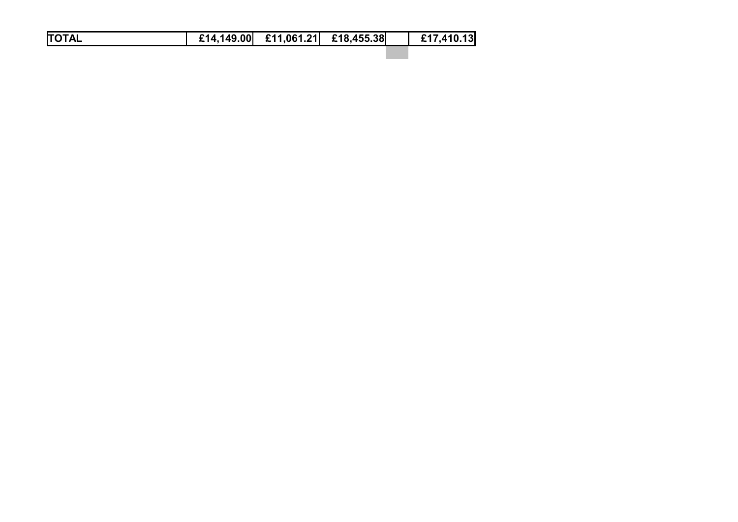|--|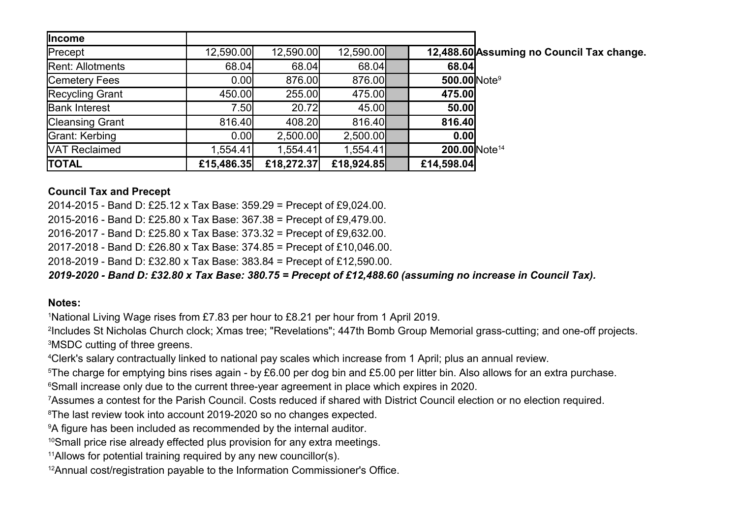| <b>Income</b>           |            |            |            |                           |                                           |
|-------------------------|------------|------------|------------|---------------------------|-------------------------------------------|
| Precept                 | 12,590.00  | 12,590.00  | 12,590.00  |                           | 12,488.60 Assuming no Council Tax change. |
| <b>Rent: Allotments</b> | 68.04      | 68.04      | 68.04      | 68.04                     |                                           |
| Cemetery Fees           | 0.00       | 876.00     | 876.00     | 500.00 Note <sup>9</sup>  |                                           |
| Recycling Grant         | 450.00     | 255.00     | 475.00     | 475.00                    |                                           |
| <b>Bank Interest</b>    | 7.50       | 20.72      | 45.00      | 50.00                     |                                           |
| Cleansing Grant         | 816.40     | 408.20     | 816.40     | 816.40                    |                                           |
| Grant: Kerbing          | 0.00       | 2,500.00   | 2,500.00   | 0.001                     |                                           |
| <b>VAT Reclaimed</b>    | 1,554.41   | 1,554.41   | 1,554.41   | 200.00 Note <sup>14</sup> |                                           |
| <b>TOTAL</b>            | £15,486.35 | £18,272.37 | £18,924.85 | £14,598.04                |                                           |

## **Council Tax and Precept**

2014-2015 - Band D: £25.12 x Tax Base: 359.29 = Precept of £9,024.00.

2015-2016 - Band D: £25.80 x Tax Base: 367.38 = Precept of £9,479.00.

2016-2017 - Band D: £25.80 x Tax Base: 373.32 = Precept of £9,632.00.

2017-2018 - Band D: £26.80 x Tax Base: 374.85 = Precept of £10,046.00.

2018-2019 - Band D: £32.80 x Tax Base: 383.84 = Precept of £12,590.00.

*2019-2020 - Band D: £32.80 x Tax Base: 380.75 = Precept of £12,488.60 (assuming no increase in Council Tax).*

## **Notes:**

<sup>1</sup>National Living Wage rises from £7.83 per hour to £8.21 per hour from 1 April 2019.

2 Includes St Nicholas Church clock; Xmas tree; "Revelations"; 447th Bomb Group Memorial grass-cutting; and one-off projects. <sup>3</sup>MSDC cutting of three greens.

<sup>4</sup>Clerk's salary contractually linked to national pay scales which increase from 1 April; plus an annual review.

<sup>5</sup>The charge for emptying bins rises again - by £6.00 per dog bin and £5.00 per litter bin. Also allows for an extra purchase.

<sup>6</sup>Small increase only due to the current three-year agreement in place which expires in 2020.

<sup>7</sup>Assumes a contest for the Parish Council. Costs reduced if shared with District Council election or no election required.

<sup>8</sup>The last review took into account 2019-2020 so no changes expected.

<sup>9</sup>A figure has been included as recommended by the internal auditor.

<sup>10</sup>Small price rise already effected plus provision for any extra meetings.

<sup>11</sup>Allows for potential training required by any new councillor(s).

12Annual cost/registration payable to the Information Commissioner's Office.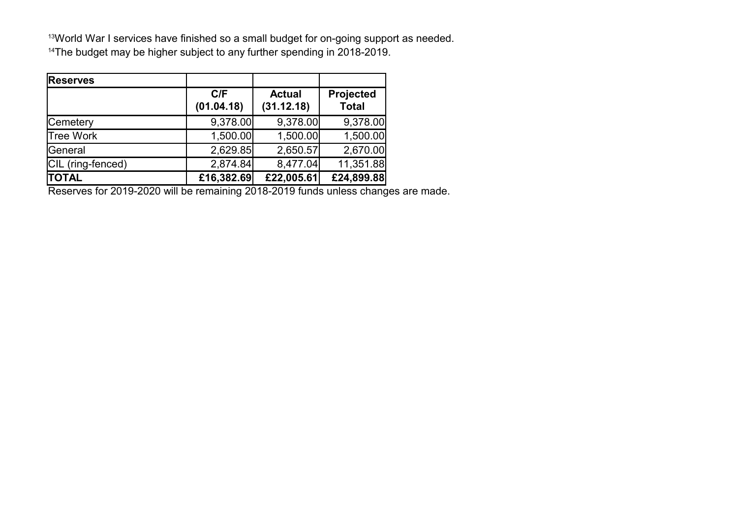13World War I services have finished so a small budget for on-going support as needed. <sup>14</sup>The budget may be higher subject to any further spending in 2018-2019.

| <b>Reserves</b>   |                   |                             |                           |
|-------------------|-------------------|-----------------------------|---------------------------|
|                   | C/F<br>(01.04.18) | <b>Actual</b><br>(31.12.18) | Projected<br><b>Total</b> |
| <b>Cemetery</b>   | 9,378.00          | 9,378.00                    | 9,378.00                  |
| <b>Tree Work</b>  | 1,500.00          | 1,500.00                    | 1,500.00                  |
| General           | 2,629.85          | 2,650.57                    | 2,670.00                  |
| CIL (ring-fenced) | 2,874.84          | 8,477.04                    | 11,351.88                 |
| <b>TOTAL</b>      | £16,382.69        | £22,005.61                  | £24,899.88                |

Reserves for 2019-2020 will be remaining 2018-2019 funds unless changes are made.